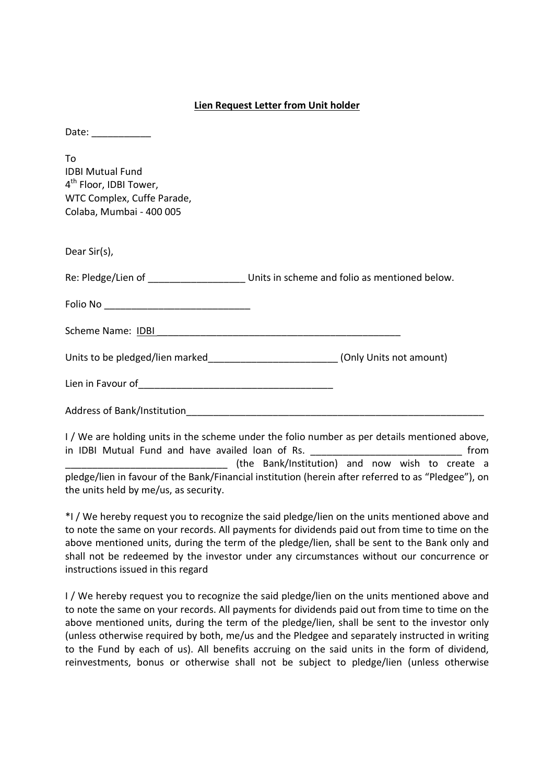## **Lien Request Letter from Unit holder**

| Date: ___________                                                                                                             |                                                                                                                                                                                                                                |
|-------------------------------------------------------------------------------------------------------------------------------|--------------------------------------------------------------------------------------------------------------------------------------------------------------------------------------------------------------------------------|
| Tο<br><b>IDBI Mutual Fund</b><br>4 <sup>th</sup> Floor, IDBI Tower,<br>WTC Complex, Cuffe Parade,<br>Colaba, Mumbai - 400 005 |                                                                                                                                                                                                                                |
| Dear Sir(s),                                                                                                                  |                                                                                                                                                                                                                                |
|                                                                                                                               |                                                                                                                                                                                                                                |
| Folio No _________________________________                                                                                    |                                                                                                                                                                                                                                |
|                                                                                                                               |                                                                                                                                                                                                                                |
|                                                                                                                               | Units to be pledged/lien marked________________________(Only Units not amount)                                                                                                                                                 |
|                                                                                                                               |                                                                                                                                                                                                                                |
|                                                                                                                               |                                                                                                                                                                                                                                |
|                                                                                                                               | $\pm$ 1. AM a consideration contact to the condition of contact the field of the condition of the second second condition of the constant of the constant of the constant of the constant of the constant of the constant of t |

I / We are holding units in the scheme under the folio number as per details mentioned above, in IDBI Mutual Fund and have availed loan of Rs. **Example 2018** 10 and the state of RS. \_\_\_\_\_\_\_\_\_\_\_\_\_\_\_\_\_\_\_\_\_\_\_\_\_\_\_\_\_\_ (the Bank/Institution) and now wish to create a pledge/lien in favour of the Bank/Financial institution (herein after referred to as "Pledgee"), on the units held by me/us, as security.

\*I / We hereby request you to recognize the said pledge/lien on the units mentioned above and to note the same on your records. All payments for dividends paid out from time to time on the above mentioned units, during the term of the pledge/lien, shall be sent to the Bank only and shall not be redeemed by the investor under any circumstances without our concurrence or instructions issued in this regard

I / We hereby request you to recognize the said pledge/lien on the units mentioned above and to note the same on your records. All payments for dividends paid out from time to time on the above mentioned units, during the term of the pledge/lien, shall be sent to the investor only (unless otherwise required by both, me/us and the Pledgee and separately instructed in writing to the Fund by each of us). All benefits accruing on the said units in the form of dividend, reinvestments, bonus or otherwise shall not be subject to pledge/lien (unless otherwise